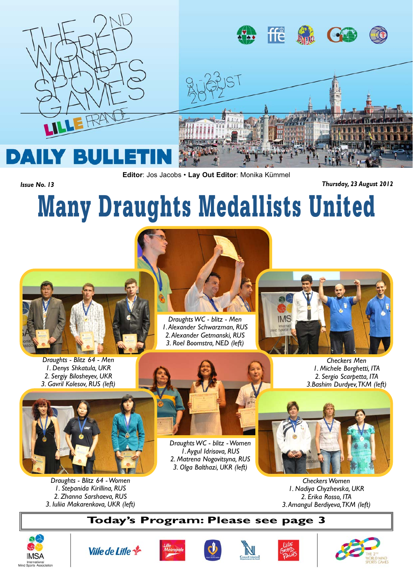

**Editor**: Jos Jacobs • **Lay Out Editor**: Monika Kümmel

*Issue No. 13 Thursday, 23 August 2012*

## Many Draughts Medallists United



*Draughts - Blitz 64 - Men 1. Denys Shkatula, UKR 2. Sergiy Bilosheyev, UKR 3. Gavril Kolesov, RUS (left)*



*Draughts - Blitz 64 - Women 1. Stepanida Kirillina, RUS 2. Zhanna Sarshaeva, RUS 3. Iuliia Makarenkova, UKR (left)*



*Draughts WC - blitz - Men 1. Alexander Schwarzman, RUS*

*Draughts WC - blitz - Women 1. Aygul Idrisova, RUS 2. Matrena Nogovitsyna, RUS 3. Olga Balthazi, UKR (left)*



*Checkers Men 1. Michele Borghetti, ITA 2. Sergio Scarpetta, ITA 3.Bashim Durdyev, TKM (left)*



*Checkers Women 1. Nadiya Chyzhevska, UKR 2. Erika Rosso, ITA 3. Amangul Berdiyeva, TKM (left)*

## **Today's Program: Please see page 3**













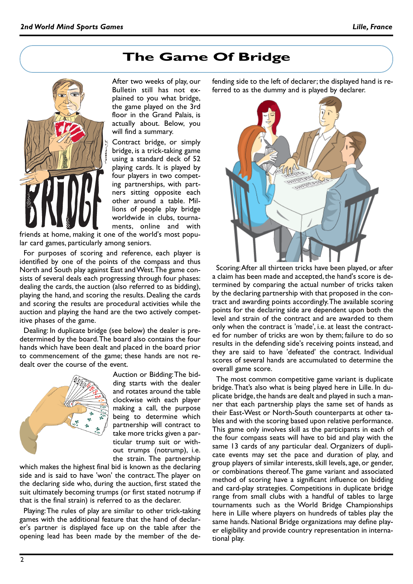## **The Game Of Bridge**



After two weeks of play, our Bulletin still has not explained to you what bridge, the game played on the 3rd floor in the Grand Palais, is actually about. Below, you will find a summary.

Contract bridge, or simply bridge, is a trick-taking game using a standard deck of 52 playing cards. It is played by four players in two competing partnerships, with partners sitting opposite each other around a table. Millions of people play bridge worldwide in clubs, tournaments, online and with

friends at home, making it one of the world's most popular card games, particularly among seniors.

For purposes of scoring and reference, each player is identified by one of the points of the compass and thus North and South play against East and West. The game consists of several deals each progressing through four phases: dealing the cards, the auction (also referred to as bidding), playing the hand, and scoring the results. Dealing the cards and scoring the results are procedural activities while the auction and playing the hand are the two actively competitive phases of the game.

Dealing: In duplicate bridge (see below) the dealer is predetermined by the board. The board also contains the four hands which have been dealt and placed in the board prior to commencement of the game; these hands are not redealt over the course of the event.



Auction or Bidding: The bidding starts with the dealer and rotates around the table clockwise with each player making a call, the purpose being to determine which partnership will contract to take more tricks given a particular trump suit or without trumps (notrump), i.e. the strain. The partnership

which makes the highest final bid is known as the declaring side and is said to have 'won' the contract. The player on the declaring side who, during the auction, first stated the suit ultimately becoming trumps (or first stated notrump if that is the final strain) is referred to as the declarer.

Playing: The rules of play are similar to other trick-taking games with the additional feature that the hand of declarer's partner is displayed face up on the table after the opening lead has been made by the member of the defending side to the left of declarer; the displayed hand is referred to as the dummy and is played by declarer.



Scoring: After all thirteen tricks have been played, or after a claim has been made and accepted, the hand's score is determined by comparing the actual number of tricks taken by the declaring partnership with that proposed in the contract and awarding points accordingly. The available scoring points for the declaring side are dependent upon both the level and strain of the contract and are awarded to them only when the contract is 'made', i.e. at least the contracted for number of tricks are won by them; failure to do so results in the defending side's receiving points instead, and they are said to have 'defeated' the contract. Individual scores of several hands are accumulated to determine the overall game score.

The most common competitive game variant is duplicate bridge. That's also what is being played here in Lille. In duplicate bridge, the hands are dealt and played in such a manner that each partnership plays the same set of hands as their East-West or North-South counterparts at other tables and with the scoring based upon relative performance. This game only involves skill as the participants in each of the four compass seats will have to bid and play with the same 13 cards of any particular deal. Organizers of duplicate events may set the pace and duration of play, and group players of similar interests, skill levels, age, or gender, or combinations thereof. The game variant and associated method of scoring have a significant influence on bidding and card-play strategies. Competitions in duplicate bridge range from small clubs with a handful of tables to large tournaments such as the World Bridge Championships here in Lille where players on hundreds of tables play the same hands. National Bridge organizations may define player eligibility and provide country representation in international play.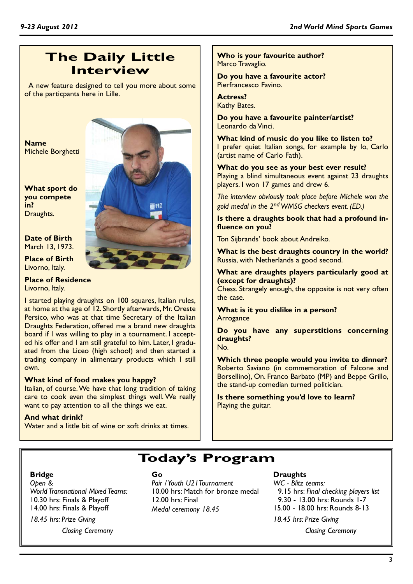## **The Daily Little Interview**

A new feature designed to tell you more about some of the particpants here in Lille.

**Name** Michele Borghetti

**What sport do you compete in?** Draughts.

**Date of Birth** March 13, 1973.

#### **Place of Birth** Livorno, Italy.

**Place of Residence** Livorno, Italy.

I started playing draughts on 100 squares, Italian rules, at home at the age of 12. Shortly afterwards, Mr. Oreste Persico, who was at that time Secretary of the Italian Draughts Federation, offered me a brand new draughts board if I was willing to play in a tournament. I accepted his offer and I am still grateful to him. Later, I graduated from the Liceo (high school) and then started a trading company in alimentary products which I still own.

#### **What kind of food makes you happy?**

Italian, of course. We have that long tradition of taking care to cook even the simplest things well. We really want to pay attention to all the things we eat.

#### **And what drink?**

Water and a little bit of wine or soft drinks at times.



**B**FID

**Who is your favourite author?** Marco Travaglio.

**Do you have a favourite actor?** Pierfrancesco Favino.

#### **Actress?** Kathy Bates.

**Do you have a favourite painter/artist?** Leonardo da Vinci.

**What kind of music do you like to listen to?** I prefer quiet Italian songs, for example by Io, Carlo (artist name of Carlo Fath).

**What do you see as your best ever result?** Playing a blind simultaneous event against 23 draughts players. I won 17 games and drew 6.

*The interview obviously took place before Michele won the gold medal in the 2nd WMSG checkers event. (ED.)*

**Is there a draughts book that had a profound influence on you?**

Ton Sijbrands' book about Andreiko.

**What is the best draughts country in the world?** Russia, with Netherlands a good second.

**What are draughts players particularly good at (except for draughts)?**

Chess. Strangely enough, the opposite is not very often the case.

**What is it you dislike in a person? Arrogance** 

**Do you have any superstitions concerning draughts?** No.

**Which three people would you invite to dinner?** Roberto Saviano (in commemoration of Falcone and Borsellino), On. Franco Barbato (MP) and Beppe Grillo, the stand-up comedian turned politician.

**Is there something you'd love to learn?** Playing the guitar.

## **Today's Program**

#### **Bridge**

*Open & World Transnational Mixed Teams:*  10.30 hrs: Finals & Playoff 14.00 hrs: Finals & Playoff

*18.45 hrs: Prize Giving*

*Closing Ceremony*

#### **Go**

*Pair / Youth U21Tournament* 10.00 hrs: Match for bronze medal 12.00 hrs: Final *Medal ceremony 18.45*

#### **Draughts**

*WC - Blitz teams:*  9.15 hrs: *Final checking players list* 9.30 - 13.00 hrs: Rounds 1-7 15.00 - 18.00 hrs: Rounds 8-13

*18.45 hrs: Prize Giving*

*Closing Ceremony*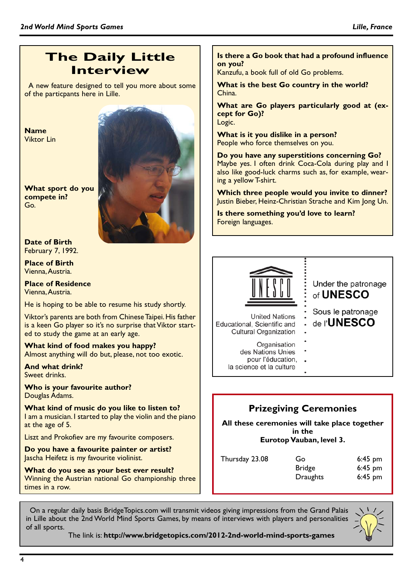## **The Daily Little Interview**

A new feature designed to tell you more about some of the particpants here in Lille.

**Name** Viktor Lin

**What sport do you compete in?** Go.



**Date of Birth** February 7, 1992.

**Place of Birth** Vienna, Austria.

**Place of Residence** Vienna, Austria.

He is hoping to be able to resume his study shortly.

Viktor's parents are both from Chinese Taipei. His father is a keen Go player so it's no surprise that Viktor started to study the game at an early age.

**What kind of food makes you happy?** Almost anything will do but, please, not too exotic.

**And what drink?** Sweet drinks.

**Who is your favourite author?** Douglas Adams.

**What kind of music do you like to listen to?** I am a musician. I started to play the violin and the piano at the age of 5.

Liszt and Prokofiev are my favourite composers.

**Do you have a favourite painter or artist?** Jascha Heifetz is my favourite violinist.

**What do you see as your best ever result?** Winning the Austrian national Go championship three times in a row.

#### **Is there a Go book that had a profound influence on you?**

Kanzufu, a book full of old Go problems.

#### **What is the best Go country in the world?** China.

**What are Go players particularly good at (except for Go)?** Logic.

**What is it you dislike in a person?** People who force themselves on you.

**Do you have any superstitions concerning Go?** Maybe yes. I often drink Coca-Cola during play and I also like good-luck charms such as, for example, wearing a yellow T-shirt.

**Which three people would you invite to dinner?** Justin Bieber, Heinz-Christian Strache and Kim Jong Un.

**Is there something you'd love to learn?** Foreign languages.



Under the patronage of UNESCO

Sous le patronage

de l'**UNESCO** 

**United Nations** Educational, Scientific and **Cultural Organization** 

- Organisation
- des Nations Unies
	- pour l'éducation,
- la science et la culture

## **Prizegiving Ceremonies**

**All these ceremonies will take place together in the Eurotop Vauban, level 3.**

| Thursday 23.08 | Go            | $6:45$ pm |
|----------------|---------------|-----------|
|                | <b>Bridge</b> | $6:45$ pm |
|                | Draughts      | $6:45$ pm |

On a regular daily basis BridgeTopics.com will transmit videos giving impressions from the Grand Palais in Lille about the 2nd World Mind Sports Games, by means of interviews with players and personalities of all sports.



The link is: **http://www.bridgetopics.com/2012-2nd-world-mind-sports-games**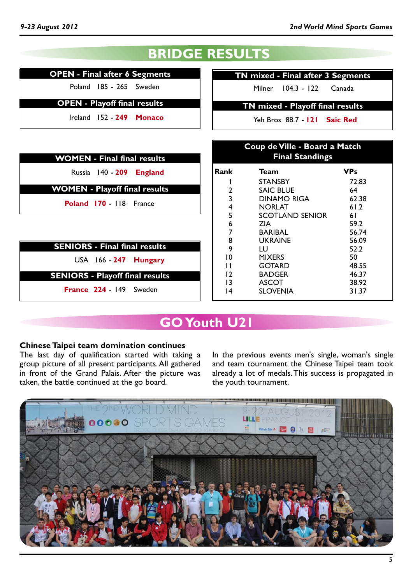## **BRIDGE RESULTS**

#### **OPEN - Final after 6 Segments**

Poland 185 - 265 Sweden

**OPEN - Playoff final results**

Ireland 152 - **249 Monaco**

| <b>WOMEN - Final final results</b>     |          |
|----------------------------------------|----------|
| Russia 140 - 209 England               | Rank     |
| <b>WOMEN - Playoff final results</b>   | 2        |
| Poland 170 - 118 France                | 3<br>4   |
|                                        | 5<br>6   |
|                                        |          |
| <b>SENIORS - Final final results</b>   | 8<br>9   |
| USA 166 - 247 Hungary                  | 10<br>п  |
| <b>SENIORS - Playoff final results</b> | 12       |
| France 224 - 149 Sweden                | 13<br>14 |
|                                        |          |

**TN mixed - Final after 3 Segments**

Milner 104.3 - 122 Canada

**TN mixed - Playoff final results**

Yeh Bros 88.7 - **121 Saic Red**

| Coup de Ville - Board a Match<br><b>Final Standings</b> |                    |            |  |  |  |  |
|---------------------------------------------------------|--------------------|------------|--|--|--|--|
| Rank                                                    | Team               | <b>VPs</b> |  |  |  |  |
| ı                                                       | STANSBY            | 72.83      |  |  |  |  |
| 2                                                       | SAIC BLUE          | 64         |  |  |  |  |
| 3                                                       | <b>DINAMO RIGA</b> | 62.38      |  |  |  |  |
| 4                                                       | <b>NORLAT</b>      | 61.2       |  |  |  |  |
| 5                                                       | SCOTLAND SENIOR    | 61         |  |  |  |  |
| 6                                                       | <b>ZIA</b>         | 59.2       |  |  |  |  |
| 7                                                       | <b>BARIBAL</b>     | 56.74      |  |  |  |  |
| 8                                                       | <b>UKRAINE</b>     | 56.09      |  |  |  |  |
| 9                                                       | LU                 | 52.2       |  |  |  |  |
| 10                                                      | <b>MIXERS</b>      | 50         |  |  |  |  |
| П                                                       | GOTARD             | 48.55      |  |  |  |  |
| $\overline{2}$                                          | <b>BADGER</b>      | 46.37      |  |  |  |  |
| 13                                                      | <b>ASCOT</b>       | 38.92      |  |  |  |  |
| 14                                                      | <b>SLOVENIA</b>    | 31.37      |  |  |  |  |

## **GO Youth U21**

#### **Chinese Taipei team domination continues**

The last day of qualification started with taking a group picture of all present participants. All gathered in front of the Grand Palais. After the picture was taken, the battle continued at the go board.

In the previous events men's single, woman's single and team tournament the Chinese Taipei team took already a lot of medals. This success is propagated in the youth tournament.

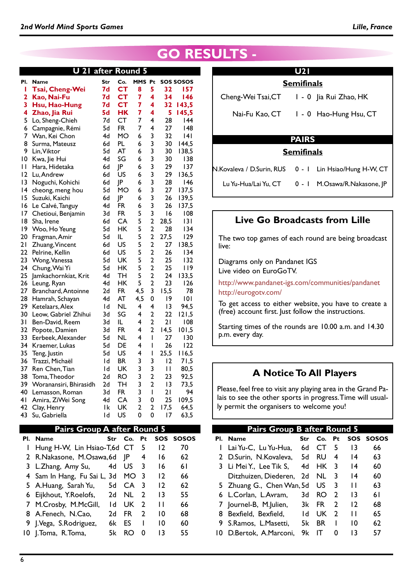| after Round 5<br>21<br>U |                                         |           |                 |                |                         |          |                  |
|--------------------------|-----------------------------------------|-----------|-----------------|----------------|-------------------------|----------|------------------|
| PI.                      | Name                                    | Str       | Co.             | MMS Pt         |                         |          | <b>SOS SOSOS</b> |
| ı                        | Tsai, Cheng-Wei                         | 7d        | <b>CT</b>       | 8              | 5                       | 32       | 157              |
| 2                        | Kao, Nai-Fu                             | <b>7d</b> | <b>CT</b>       | 7              | 4                       | 34       | 146              |
| 3                        | Hsu, Hao-Hung                           | 7d        | <b>CT</b>       | 7              | 4                       | 32       | 143,5            |
| 4                        | Zhao, Jia Rui                           | 5d        | HK              | 7              | 4                       | 5        | 145,5            |
| 5                        | Lo, Sheng-Chieh                         | 7d        | CT              | 7              | 4                       | 28       | 44               |
| 6                        | Campagnie, Rémi                         | 5d        | <b>FR</b>       | 7              | 4                       | 27       | 148              |
| 7                        | Wan, Kei Chon                           | 4d        | <b>MO</b>       | 6              | 3                       | 32       | 4                |
| 8                        | Surma, Mateusz                          | 6d        | PL              | 6              | 3                       | 30       | 144,5            |
| 9                        | Lin, Viktor                             | 5d        | AT              | 6              | 3                       | 30       | 138,5            |
| 10                       | Kwa, Jie Hui                            | 4d        | SG              | 6              | 3                       | 30       | 138              |
| П                        | Hara, Hidetaka                          | 6d        | JP              | 6              | 3                       | 29       | 137              |
| 2                        | Lu, Andrew                              | 6d        | US              | 6              | 3                       | 29       | 136,5            |
| 3                        | Noguchi, Kohichi                        | 6d        | JP              | 6              | 3                       | 28       | 146              |
| 14                       | cheong, meng hou                        | 5d        | MO              | 6              | 3                       | 27       | 137,5            |
| 15                       | Suzuki, Kaichi                          | 6d        | JP              | 6              | 3                       | 26       | 139,5            |
| 16                       | Le Calvé, Tanguy                        | 4d        | FR              | 6              | 3                       | 26       | 137,5            |
| 17                       | Chetioui, Benjamin                      | 3d        | FR.             | 5              | 3                       | 16       | 108              |
| 18                       | Sha, Irene                              | 6d        | CA              | 5              | $\overline{2}$          | 28,5     | 3                |
| 19                       | Woo, Ho Yeung                           | 5d        | <b>HK</b>       | 5              | $\overline{2}$          | 28       | 134              |
| 20                       | Fragman, Amir                           | 5d        | IL              | 5              | $\overline{2}$          | 27,5     | 129              |
| 21                       | Zhuang, Vincent                         | 6d        | US              | 5              | $\overline{2}$          | 27       | 138,5            |
| 22                       | Pelrine, Kellin                         | 6d        | US              | 5              | $\overline{2}$          | 26       | 134              |
| 23                       | Wong, Vanessa                           | 5d        | UK              | 5              | $\overline{\mathbf{c}}$ | 25       | 132              |
| 24                       | Chung, Wai Yi                           | 5d        | <b>HK</b>       | 5              | $\overline{\mathbf{c}}$ | 25       | 119              |
| 25                       | Jamkachornkiat, Krit                    | 4d        | <b>TH</b>       | 5              | $\overline{2}$          | 24       | 133,5            |
| 26                       | Leung, Ryan                             | 4d        | <b>HK</b>       | 5              | $\overline{2}$          | 23       | 126              |
| 27                       | Branchard, Antoinne                     | 2d        | FR.             | 4,5            | 3                       | 15,5     | 78               |
| 28                       | Hamrah, Schayan                         | 4d        | AT              | 4,5            | 0                       | 19       | 0                |
| 29<br>30                 | Ketelaars, Alex<br>Leow, Gabriel Zhihui | ١d<br>3d  | <b>NL</b><br>SG | 4<br>4         | 4<br>$\overline{2}$     | 13<br>22 | 94,5<br>121,5    |
| 31                       | Ben-David, Reem                         | 3d        | IL              | 4              | $\overline{2}$          | 21       | 108              |
| 32                       | Popote, Damien                          | 3d        | <b>FR</b>       | 4              | $\overline{2}$          | 14,5     | 101,5            |
| 33                       | Eerbeek, Alexander                      | 5d        | NL              | 4              | $\mathsf I$             | 27       | 130              |
| 34                       | Kraemer, Lukas                          | 5d        | DE              | 4              | I                       | 26       | 122              |
| 35                       | Teng, Justin                            | 5d        | US              | 4              | I                       | 25,5     | 116,5            |
| 36                       | Trazzi, Michaël                         | ١d        | <b>BR</b>       | 3              | 3                       | 12       | 71,5             |
| 37                       | Ren Chen, Tian                          | ١d        | UK              | 3              | 3                       | П        | 80,5             |
| 38                       | Toma, Theodor                           | 2d        | <b>RO</b>       | 3              | 2                       | 23       | 92,5             |
| 39                       | Woranansiri, Bhirasidh                  | 2d        | TН              | 3              | $\overline{2}$          | 3        | 73,5             |
| 40                       | Lemasson, Roman                         | 3d        | <b>FR</b>       | 3              | $\mathbf{I}$            | 21       | 94               |
| 41                       | Amira, ZiWei Song                       | 4d        | CA              | 3              | 0                       | 25       | 109,5            |
| 42                       | Clay, Henry                             | Ιk        | UK              | $\overline{2}$ | 2                       | 17,5     | 64,5             |
| 43                       | Su, Gabriella                           | ١d        | US              | 0              | 0                       | 17       | 63,5             |
|                          |                                         |           |                 |                |                         |          |                  |

#### **Pairs Group A after Round 5**

| Pl. Name                        | Str | Co.             | <b>Pt</b>               |    | SOS SOSOS |  |
|---------------------------------|-----|-----------------|-------------------------|----|-----------|--|
| I Hung H-W, Lin Hsiao-T,6d CT 5 |     |                 |                         | 12 | 70        |  |
| 2 R.Nakasone, M.Osawa, 6d JP    |     |                 | 4                       | 16 | 62        |  |
| 3 L.Zhang, Amy Su,              | 4d  | US.             | $\overline{\mathbf{3}}$ | 16 | 61        |  |
| 4 Sam In Hang, Fu Sai L, 3d     |     | MO <sub>3</sub> |                         | 12 | 66        |  |
| 5 A.Huang, Sarah Yu,            | 5d  | CA.             | -3                      | 12 | 62        |  |
| 6 Eijkhout, Y.Roelofs,          | 2d  | NL.             | 2                       | 13 | 55        |  |
| 7 M.Crosby, M.McGill,           | ١d  | UK.             | 2                       | Н  | 66        |  |
| 8 A.Fenech, N.Cao,              | 2d  | FR.             | 2                       | 10 | 68        |  |
| 9 J.Vega, S.Rodriguez,          | 6k  | ES              |                         | 10 | 60        |  |
| 10 J.Toma, R.Toma,              | 5k  | RO              | O                       | 13 | 55        |  |

## **RESULTS -**

|              | <b>Semifinals</b>                          |  |  |  |  |
|--------------|--------------------------------------------|--|--|--|--|
|              | Cheng-Wei Tsai, CT   - 0   ja Rui Zhao, HK |  |  |  |  |
|              | Nai-Fu Kao, CT   0 Hao-Hung Hsu, CT        |  |  |  |  |
| <b>PAIRS</b> |                                            |  |  |  |  |
|              | <b>Semifinals</b>                          |  |  |  |  |

N.Kovaleva / D.Surin, RUS 0 - 1 Lin Hsiao/Hung H-W, CT Lu Yu-Hua/Lai Yu, CT 0 - 1 M.Osawa/R.Nakasone, JP

**Live Go Broadcasts from Lille**

The two top games of each round are being broadcast live:

Diagrams only on Pandanet IGS Live video on EuroGoTV.

http://www.pandanet-igs.com/communities/pandanet http://eurogotv.com/

To get access to either website, you have to create a (free) account first. Just follow the instructions.

Starting times of the rounds are 10.00 a.m. and 14.30 p.m. every day.

#### **A Notice To All Players**

Please, feel free to visit any playing area in the Grand Palais to see the other sports in progress. Time will usually permit the organisers to welcome you!

|     | Pairs Group B after Round 5 |     |     |               |                 |           |  |  |
|-----|-----------------------------|-----|-----|---------------|-----------------|-----------|--|--|
| PI. | <b>Name</b>                 | Str | Co. | <b>Pt</b>     |                 | SOS SOSOS |  |  |
| L   | Lai Yu-C, Lu Yu-Hua,        | 6d  | СL  | 5             | 13              | 66        |  |  |
|     | 2 D.Surin, N.Kovaleva, 5d   |     | RU  | 4             | 14              | 63        |  |  |
|     | 3 Li Mei Y., Lee Tik S,     | 4d  | HK. | 3             | 14              | 60        |  |  |
|     | Ditzhuizen. Diederen.       | 2d  | NL. | 3             | 14              | 60        |  |  |
|     | 5 Zhuang G., Chen Wan, 5d   |     | US  | 3             | п               | 63        |  |  |
|     | 6 L.Corlan, L.Avram,        | 3d  | RO. | $\mathcal{P}$ | $\overline{13}$ | 61        |  |  |
|     | 7 Journel-B, M.Julien,      | 3k  | FR. | $\mathcal{P}$ | $\overline{2}$  | 68        |  |  |
|     | 8 Bexfield, Bexfield,       | 1d  | UK. | $\mathcal{P}$ | П               | 65        |  |  |
|     | 9 S.Ramos, L.Masetti,       | 5k  | BR. | ı             | 10              | 62        |  |  |
| 10  | D.Bertok. A.Marconi.        | 9k  |     | O             | 13              | 57        |  |  |
|     |                             |     |     |               |                 |           |  |  |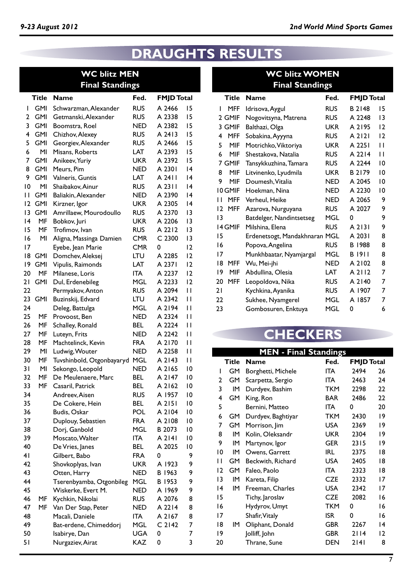## **DRAUGHTS RESULTS**

### **WC blitz MEN Final Standings**

|              | Title      | <b>Name</b>               | Fed.       | <b>FMJD Total</b> |                |
|--------------|------------|---------------------------|------------|-------------------|----------------|
| I            | GMI        | Schwarzman, Alexander     | <b>RUS</b> | A 2466            | 15             |
| 2            | <b>GMI</b> | Getmanski, Alexander      | <b>RUS</b> | A 2338            | 15             |
| 3            | GMI        | Boomstra, Roel            | NED        | A 2382            | 15             |
| 4            | <b>GMI</b> | Chizhov, Alexey           | <b>RUS</b> | A 2413            | 15             |
| 5            | GMI        | Georgiev, Alexander       | <b>RUS</b> | A 2466            | 15             |
| 6            | ΜI         | Misans, Roberts           | LAT        | A 2393            | 15             |
| 7            | GMI.       | Anikeev, Yuriy            | <b>UKR</b> | A 2392            | 15             |
| 8            | GMI        | Meurs, Pim                | NED        | A 2301            | 4              |
| 9            | GMI        | Valneris, Guntis          | LAT        | A 2411            | 14             |
| 10           | MI         | Shaibakov, Ainur          | <b>RUS</b> | A 2311            | 14             |
| $\mathsf{I}$ | GMI        | Baliakin, Alexander       | NED        | A 2390            | 14             |
| 12           | GMI        | Kirzner, Igor             | <b>UKR</b> | A 2305            | 14             |
| 13           | <b>GMI</b> | Amrillaew, Mourodoullo    | <b>RUS</b> | A 2370            | 13             |
| 14           | MF         | Bobkov, Juri              | <b>UKR</b> | A 2206            | 13             |
| 15           | MF         | Trofimov, Ivan            | <b>RUS</b> | A 2212            | 13             |
| 16           | MI         | Aligna, Massinga Damien   | <b>CMR</b> | C <sub>2300</sub> | 13             |
| 17           |            | Eyebe, Jean Marie         | <b>CMR</b> | 0                 | $\overline{2}$ |
| 18           | GMI.       | Domchev, Aleksej          | LTU        | A 2285            | $\overline{2}$ |
| 9            | GMI        | Vipulis, Raimonds         | LAT        | A 2371            | 12             |
| 20           | MF         | Milanese, Loris           | <b>ITA</b> | A 2237            | $\overline{2}$ |
| 21           | <b>GMI</b> | Dul, Erdenebileg          | MGL        | A 2233            | 12             |
| 22           |            | Permyakov, Anton          | <b>RUS</b> | A 2094            | П              |
| 23           | <b>GMI</b> | Buzinskij, Edvard         | LTU        | A 2342            | П              |
| 24           |            | Deleg, Battulga           | MGL        | A 2194            | П              |
| 25           | MF         | Provoost, Ben             | NED        | A 2324            | П              |
| 26           | MF         | Schalley, Ronald          | BEL.       | A 2224            | П              |
| 27           | MF         | Luteyn, Frits             | NED        | A 2242            | Н              |
| 28           | MF         | Machtelinck, Kevin        | <b>FRA</b> | A 2170            | Н              |
| 29           | MI         | Ludwig, Wouter            | NED        | A 2258            | П              |
| 30           | <b>MF</b>  | Tuvshinbold, Otgonbayaryd | <b>MGL</b> | A 2143            | П              |
| 31           | ΜI         | Sekongo, Leopold          | NED        | A 2165            | 10             |
| 32           | MF         | De Meulenaere, Marc       | <b>BEL</b> | A 2147            | 10             |
| 33           | MF         | Casaril, Patrick          | BEL        | A 2162            | 10             |
| 34           |            | Andreev, Aisen            | <b>RUS</b> | A 1957            | 10             |
| 35           |            | De Cokere, Hein           | BEL        | A 2151            | 10             |
| 36           |            | Budis, Oskar              | POL        | A 2104            | 10             |
| 37           |            | Duplouy, Sebastien        | <b>FRA</b> | A 2108            | 10             |
| 38           |            | Dorj, Ganbold             | MGL        | B 2073            | 10             |
| 39           |            | Moscato, Walter           | ITA        | A 2141            | 10             |
| 40           |            | De Vries, Janes           | BEL        | A 2025            | 10             |
| 41           |            | Gilbert, Babo             | <b>FRA</b> | 0                 | 9              |
| 42           |            | Shovkoplyas, Ivan         | <b>UKR</b> | A 1923            | 9              |
| 43           |            | Otten, Harry              | <b>NED</b> | B 1963            | 9              |
| 44           |            | Tserenbyamba, Otgonbileg  | MGL        | B 1953            | 9              |
| 45           |            | Wiskerke, Evert M.        | <b>NED</b> | A 1969            | 9              |
| 46           | MF         | Kychkin, Nikolai          | <b>RUS</b> | A 2076            | 8              |
| 47           | MF         | Van Der Stap, Peter       | <b>NED</b> | A 2214            | 8              |
| 48           |            | Macali, Daniele           | ITA        | A 2167            | 8              |
| 49           |            | Bat-erdene, Chimeddorj    | MGL        | $C$ 2142          | 7              |
| 50           |            | Isabirye, Dan             | <b>UGA</b> | 0                 | 7              |
| 51           |            | Nurgaziev, Airat          | <b>KAZ</b> | 0                 | 3              |

## **WC blitz WOMEN Final Standings**

|    | <b>Title</b> | <b>Name</b>                   | Fed.       | <b>FMJD Total</b> |                |
|----|--------------|-------------------------------|------------|-------------------|----------------|
| ı  | MFF          | Idrisova, Aygul               | <b>RUS</b> | B 2148            | 15             |
|    | 2 GMIF       | Nogovitsyna, Matrena          | <b>RUS</b> | A 2248            | 13             |
|    | 3 GMIF       | Balthazi, Olga                | <b>UKR</b> | A 2195            | $\overline{2}$ |
| 4  | MFF          | Sobakina, Ayyyna              | <b>RUS</b> | A 2121            | $\overline{2}$ |
| 5  | <b>MIF</b>   | Motrichko, Viktoriya          | <b>UKR</b> | A 2251            | П              |
| 6  | <b>MIF</b>   | Shestakova, Natalia           | <b>RUS</b> | A 2214            | П              |
|    | 7 GMIF       | Tansykkuzhina, Tamara         | <b>RUS</b> | A 2244            | 10             |
| 8  | <b>MIF</b>   | Litvinenko, Lyudmila          | <b>UKR</b> | B 2179            | 10             |
| 9  | MIF          | Doumesh, Vitalia              | NED        | A 2045            | 10             |
|    | 10 GMIF      | Hoekman, Nina                 | NED.       | A 2230            | 10             |
| П  | MFF          | Verheul, Heike                | NED        | A 2065            | 9              |
| 12 | <b>MFF</b>   | Azarova, Nurguyana            | <b>RUS</b> | A 2027            | 9              |
| 13 |              | Batdelger, Nandintsetseg      | MGL        | $\Omega$          | 9              |
|    | 14 GMIF      | Milshina, Elena               | <b>RUS</b> | A 2131            | 9              |
| 15 |              | Erdenetsogt, Mandakhnaran MGL |            | A 2031            | 8              |
| 16 |              | Popova, Angelina              | <b>RUS</b> | B 1988            | 8              |
| 17 |              | Munkhbaatar, Nyamjargal       | <b>MGL</b> | <b>B</b> 1911     | 8              |
| 18 | MFF          | Wu, Mei-jhi                   | NED.       | A 2102            | 8              |
| 9  | <b>MIF</b>   | Abdullina, Olesia             | <b>LAT</b> | A 2112            | 7              |
| 20 | MFF          | Leopoldova, Nika              | <b>RUS</b> | A 2140            | 7              |
| 21 |              | Kychkina, Ayanika             | <b>RUS</b> | A 1907            | 7              |
| 22 |              | Sukhee, Nyamgerel             | <b>MGL</b> | A 1857            | 7              |
| 23 |              | Gombosuren, Enktuya           | MGL        | 0                 | 6              |

## **CHECKERS**

|    | <b>MEN - Final Standings</b> |                    |            |                   |                 |  |  |  |
|----|------------------------------|--------------------|------------|-------------------|-----------------|--|--|--|
|    | Title                        | <b>Name</b>        | Fed.       | <b>FMJD Total</b> |                 |  |  |  |
| I  | GM                           | Borghetti, Michele | ITA        | 2494              | 26              |  |  |  |
| 2  | GM                           | Scarpetta, Sergio  | ITA        | 2463              | 24              |  |  |  |
| 3  | IM                           | Durdyev, Bashim    | TKM        | 2298              | 22              |  |  |  |
| 4  | GM                           | King, Ron          | <b>BAR</b> | 2486              | 22              |  |  |  |
| 5  |                              | Bernini, Matteo    | <b>ITA</b> | 0                 | 20              |  |  |  |
| 6  | GM                           | Durdyev, Baghtiyar | <b>TKM</b> | 2430              | 19              |  |  |  |
| 7  | GM                           | Morrison, Jim      | USA        | 2369              | 19              |  |  |  |
| 8  | IM                           | Kolin, Oleksandr   | UKR        | 2304              | 19              |  |  |  |
| 9  | IM.                          | Martynov, Igor     | <b>GER</b> | 2315              | 19              |  |  |  |
| 10 | IM                           | Owens, Garrett     | IRL        | 2375              | 18              |  |  |  |
| п  | GM                           | Beckwith, Richard  | <b>USA</b> | 2405              | 18              |  |  |  |
| 12 | GM                           | Faleo, Paolo       | <b>ITA</b> | 2323              | 18              |  |  |  |
| 13 | IM                           | Kareta, Filip      | <b>CZE</b> | 2332              | 17              |  |  |  |
| 4  | IM                           | Freeman, Charles   | <b>USA</b> | 2342              | 17              |  |  |  |
| 15 |                              | Tichy, Jaroslav    | <b>CZE</b> | 2082              | 16              |  |  |  |
| 16 |                              | Hydyrov, Umyt      | <b>TKM</b> | 0                 | 16              |  |  |  |
| 17 |                              | Shafir, Vitaly     | <b>ISR</b> | 0                 | 16              |  |  |  |
| 18 | ΙM                           | Oliphant, Donald   | <b>GBR</b> | 2267              | $\overline{14}$ |  |  |  |
| 19 |                              | Jolliff, John      | <b>GBR</b> | 2114              | 12              |  |  |  |
| 20 |                              | Thrane, Sune       | <b>DEN</b> | 2141              | 8               |  |  |  |
|    |                              |                    |            |                   |                 |  |  |  |